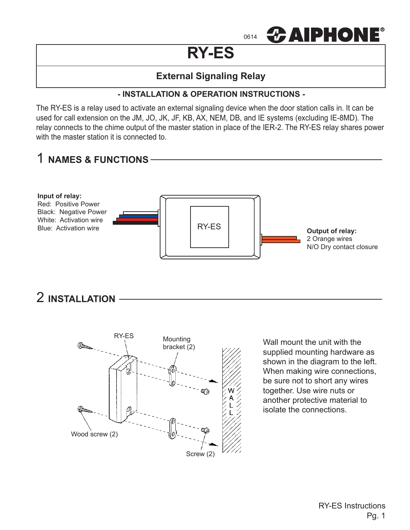

# **RY-ES**

# **External Signaling Relay**

### **- INSTALLATION & OPERATION INSTRUCTIONS -**

The RY-ES is a relay used to activate an external signaling device when the door station calls in. It can be used for call extension on the JM, JO, JK, JF, KB, AX, NEM, DB, and IE systems (excluding IE-8MD). The relay connects to the chime output of the master station in place of the IER-2. The RY-ES relay shares power with the master station it is connected to.



2 **INSTALLATION**



Wall mount the unit with the supplied mounting hardware as shown in the diagram to the left. When making wire connections, be sure not to short any wires together. Use wire nuts or another protective material to isolate the connections.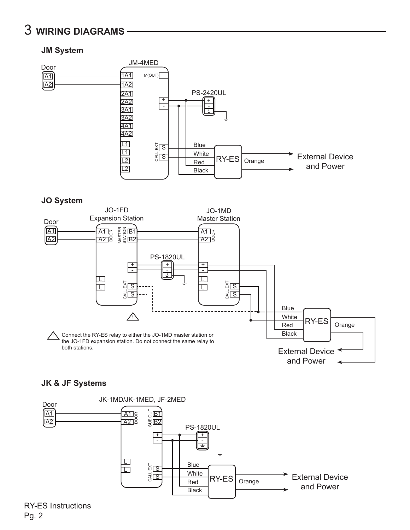# 3 **WIRING DIAGRAMS**

## **JM System**



#### **JO System**



#### **JK & JF Systems**



RY-ES Instructions Pg. 2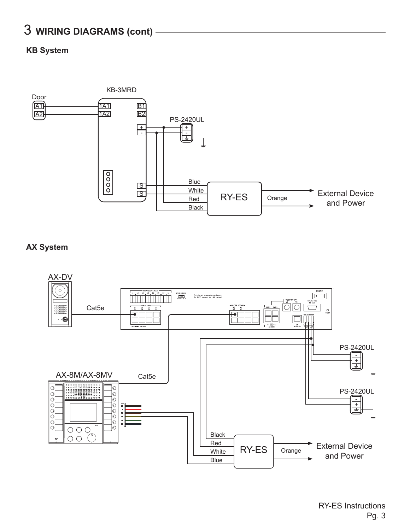# 3 **WIRING DIAGRAMS (cont)**

### **KB System**



### **AX System**